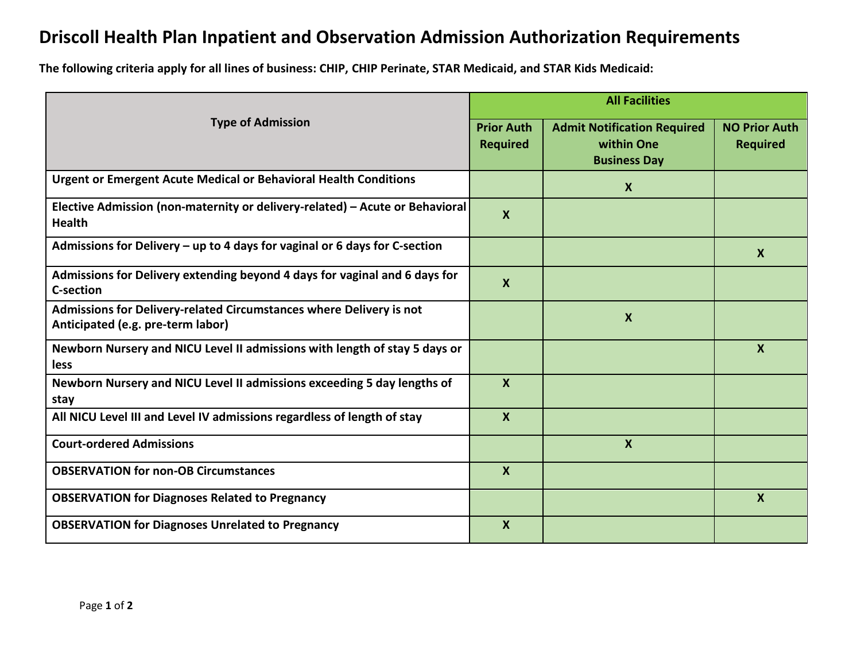## **Driscoll Health Plan Inpatient and Observation Admission Authorization Requirements**

**The following criteria apply for all lines of business: CHIP, CHIP Perinate, STAR Medicaid, and STAR Kids Medicaid:**

|                                                                                                          | <b>All Facilities</b>     |                                                                         |                                         |
|----------------------------------------------------------------------------------------------------------|---------------------------|-------------------------------------------------------------------------|-----------------------------------------|
| <b>Type of Admission</b>                                                                                 |                           | <b>Admit Notification Required</b><br>within One<br><b>Business Day</b> | <b>NO Prior Auth</b><br><b>Required</b> |
| <b>Urgent or Emergent Acute Medical or Behavioral Health Conditions</b>                                  |                           | $\mathbf{x}$                                                            |                                         |
| Elective Admission (non-maternity or delivery-related) - Acute or Behavioral<br><b>Health</b>            | $\boldsymbol{\mathsf{X}}$ |                                                                         |                                         |
| Admissions for Delivery - up to 4 days for vaginal or 6 days for C-section                               |                           |                                                                         | $\boldsymbol{X}$                        |
| Admissions for Delivery extending beyond 4 days for vaginal and 6 days for<br><b>C-section</b>           | $\boldsymbol{\mathsf{X}}$ |                                                                         |                                         |
| Admissions for Delivery-related Circumstances where Delivery is not<br>Anticipated (e.g. pre-term labor) |                           | $\boldsymbol{X}$                                                        |                                         |
| Newborn Nursery and NICU Level II admissions with length of stay 5 days or<br><b>less</b>                |                           |                                                                         | $\boldsymbol{X}$                        |
| Newborn Nursery and NICU Level II admissions exceeding 5 day lengths of<br>stay                          | $\boldsymbol{\mathsf{x}}$ |                                                                         |                                         |
| All NICU Level III and Level IV admissions regardless of length of stay                                  | $\boldsymbol{X}$          |                                                                         |                                         |
| <b>Court-ordered Admissions</b>                                                                          |                           | $\boldsymbol{X}$                                                        |                                         |
| <b>OBSERVATION for non-OB Circumstances</b>                                                              | $\boldsymbol{X}$          |                                                                         |                                         |
| <b>OBSERVATION for Diagnoses Related to Pregnancy</b>                                                    |                           |                                                                         | $\boldsymbol{X}$                        |
| <b>OBSERVATION for Diagnoses Unrelated to Pregnancy</b>                                                  | $\boldsymbol{\mathsf{X}}$ |                                                                         |                                         |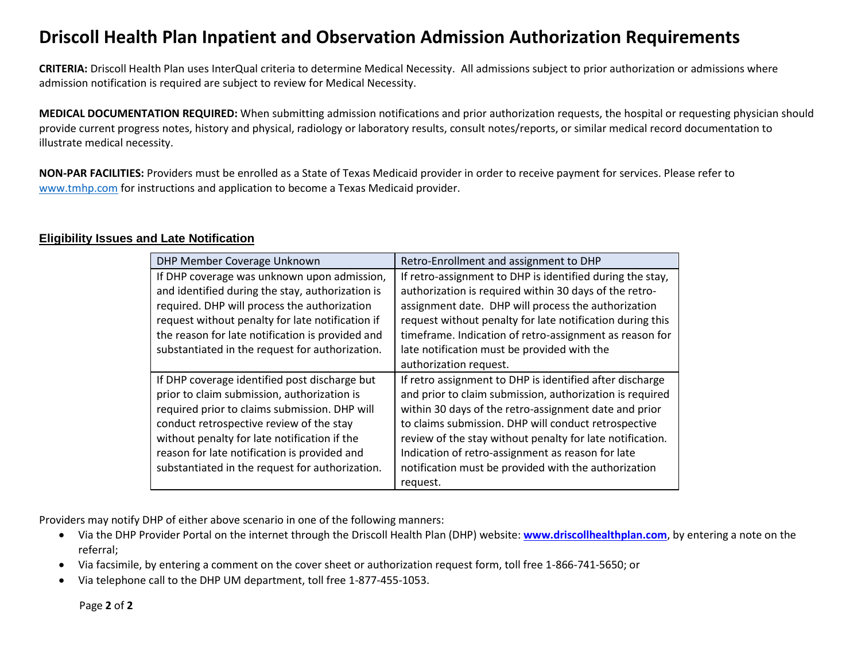## **Driscoll Health Plan Inpatient and Observation Admission Authorization Requirements**

**CRITERIA:** Driscoll Health Plan uses InterQual criteria to determine Medical Necessity. All admissions subject to prior authorization or admissions where admission notification is required are subject to review for Medical Necessity.

**MEDICAL DOCUMENTATION REQUIRED:** When submitting admission notifications and prior authorization requests, the hospital or requesting physician should provide current progress notes, history and physical, radiology or laboratory results, consult notes/reports, or similar medical record documentation to illustrate medical necessity.

**NON-PAR FACILITIES:** Providers must be enrolled as a State of Texas Medicaid provider in order to receive payment for services. Please refer to [www.tmhp.com](http://www.tmhp.com/) for instructions and application to become a Texas Medicaid provider.

## **Eligibility Issues and Late Notification**

| DHP Member Coverage Unknown                                                                                                                                                                                                                                                                                                                  | Retro-Enrollment and assignment to DHP                                                                                                                                                                                                                                                                                                                                                                                      |
|----------------------------------------------------------------------------------------------------------------------------------------------------------------------------------------------------------------------------------------------------------------------------------------------------------------------------------------------|-----------------------------------------------------------------------------------------------------------------------------------------------------------------------------------------------------------------------------------------------------------------------------------------------------------------------------------------------------------------------------------------------------------------------------|
| If DHP coverage was unknown upon admission,<br>and identified during the stay, authorization is<br>required. DHP will process the authorization<br>request without penalty for late notification if                                                                                                                                          | If retro-assignment to DHP is identified during the stay,<br>authorization is required within 30 days of the retro-<br>assignment date. DHP will process the authorization<br>request without penalty for late notification during this                                                                                                                                                                                     |
| the reason for late notification is provided and<br>substantiated in the request for authorization.                                                                                                                                                                                                                                          | timeframe. Indication of retro-assignment as reason for<br>late notification must be provided with the<br>authorization request.                                                                                                                                                                                                                                                                                            |
| If DHP coverage identified post discharge but<br>prior to claim submission, authorization is<br>required prior to claims submission. DHP will<br>conduct retrospective review of the stay<br>without penalty for late notification if the<br>reason for late notification is provided and<br>substantiated in the request for authorization. | If retro assignment to DHP is identified after discharge<br>and prior to claim submission, authorization is required<br>within 30 days of the retro-assignment date and prior<br>to claims submission. DHP will conduct retrospective<br>review of the stay without penalty for late notification.<br>Indication of retro-assignment as reason for late<br>notification must be provided with the authorization<br>request. |

Providers may notify DHP of either above scenario in one of the following manners:

- Via the DHP Provider Portal on the internet through the Driscoll Health Plan (DHP) website: **[www.driscollhealthplan.com](http://www.driscollhealthplan.com/)**, by entering a note on the referral;
- Via facsimile, by entering a comment on the cover sheet or authorization request form, toll free 1-866-741-5650; or
- Via telephone call to the DHP UM department, toll free 1-877-455-1053.

Page **2** of **2**